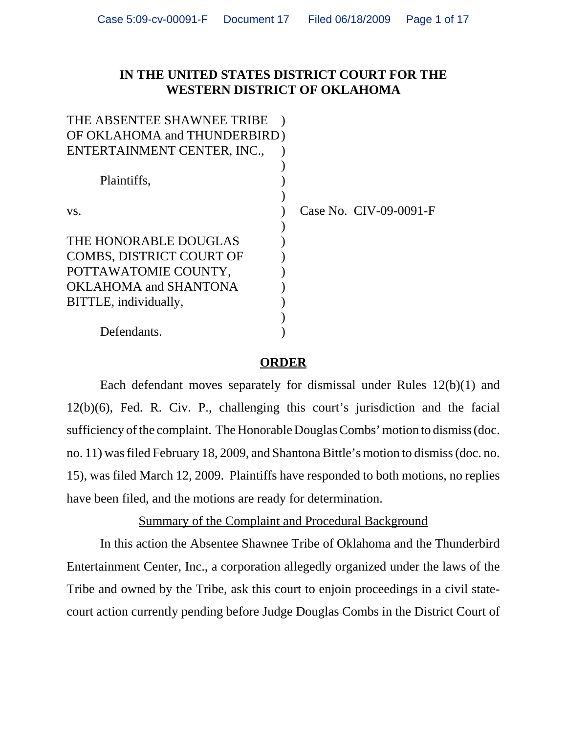## **IN THE UNITED STATES DISTRICT COURT FOR THE WESTERN DISTRICT OF OKLAHOMA**

| THE ABSENTEE SHAWNEE TRIBE      |                        |
|---------------------------------|------------------------|
| OF OKLAHOMA and THUNDERBIRD)    |                        |
| ENTERTAINMENT CENTER, INC.,     |                        |
|                                 |                        |
| Plaintiffs,                     |                        |
|                                 |                        |
| VS.                             | Case No. CIV-09-0091-F |
|                                 |                        |
| THE HONORABLE DOUGLAS           |                        |
| <b>COMBS, DISTRICT COURT OF</b> |                        |
| POTTAWATOMIE COUNTY,            |                        |
| OKLAHOMA and SHANTONA           |                        |
| BITTLE, individually,           |                        |
|                                 |                        |
| Defendants.                     |                        |
|                                 |                        |

#### **ORDER**

Each defendant moves separately for dismissal under Rules 12(b)(1) and 12(b)(6), Fed. R. Civ. P., challenging this court's jurisdiction and the facial sufficiency of the complaint. The Honorable Douglas Combs' motion to dismiss (doc. no. 11) was filed February 18, 2009, and Shantona Bittle's motion to dismiss (doc. no. 15), was filed March 12, 2009. Plaintiffs have responded to both motions, no replies have been filed, and the motions are ready for determination.

Summary of the Complaint and Procedural Background

In this action the Absentee Shawnee Tribe of Oklahoma and the Thunderbird Entertainment Center, Inc., a corporation allegedly organized under the laws of the Tribe and owned by the Tribe, ask this court to enjoin proceedings in a civil statecourt action currently pending before Judge Douglas Combs in the District Court of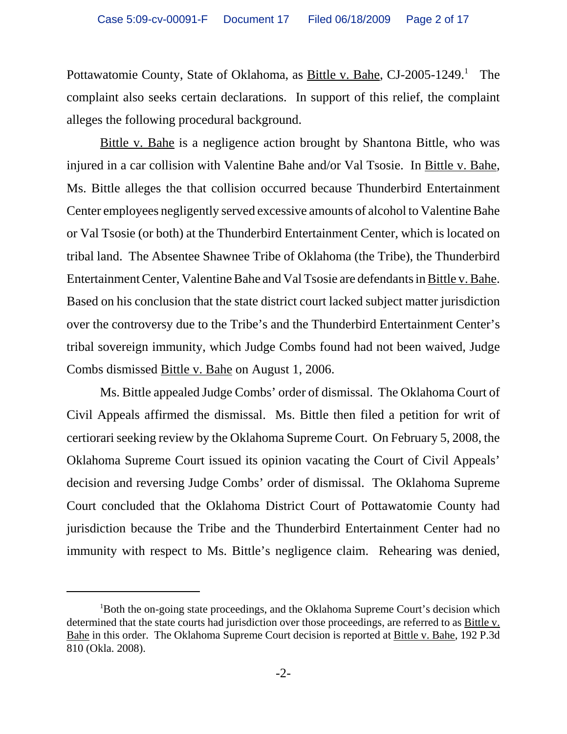Pottawatomie County, State of Oklahoma, as Bittle v. Bahe, CJ-2005-1249. The complaint also seeks certain declarations. In support of this relief, the complaint alleges the following procedural background.

Bittle v. Bahe is a negligence action brought by Shantona Bittle, who was injured in a car collision with Valentine Bahe and/or Val Tsosie. In Bittle v. Bahe, Ms. Bittle alleges the that collision occurred because Thunderbird Entertainment Center employees negligently served excessive amounts of alcohol to Valentine Bahe or Val Tsosie (or both) at the Thunderbird Entertainment Center, which is located on tribal land. The Absentee Shawnee Tribe of Oklahoma (the Tribe), the Thunderbird Entertainment Center, Valentine Bahe and Val Tsosie are defendants in Bittle v. Bahe. Based on his conclusion that the state district court lacked subject matter jurisdiction over the controversy due to the Tribe's and the Thunderbird Entertainment Center's tribal sovereign immunity, which Judge Combs found had not been waived, Judge Combs dismissed Bittle v. Bahe on August 1, 2006.

Ms. Bittle appealed Judge Combs' order of dismissal. The Oklahoma Court of Civil Appeals affirmed the dismissal. Ms. Bittle then filed a petition for writ of certiorari seeking review by the Oklahoma Supreme Court. On February 5, 2008, the Oklahoma Supreme Court issued its opinion vacating the Court of Civil Appeals' decision and reversing Judge Combs' order of dismissal. The Oklahoma Supreme Court concluded that the Oklahoma District Court of Pottawatomie County had jurisdiction because the Tribe and the Thunderbird Entertainment Center had no immunity with respect to Ms. Bittle's negligence claim. Rehearing was denied,

<sup>&</sup>lt;sup>1</sup>Both the on-going state proceedings, and the Oklahoma Supreme Court's decision which determined that the state courts had jurisdiction over those proceedings, are referred to as Bittle v. Bahe in this order. The Oklahoma Supreme Court decision is reported at Bittle v. Bahe, 192 P.3d 810 (Okla. 2008).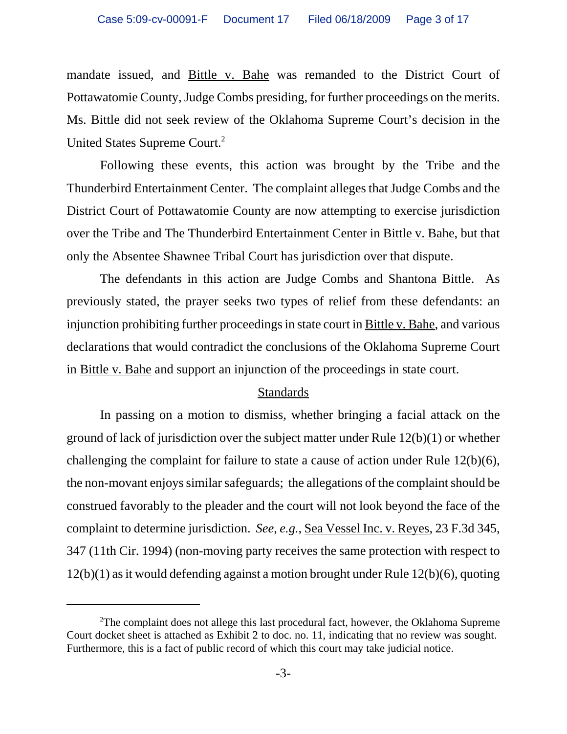mandate issued, and Bittle v. Bahe was remanded to the District Court of Pottawatomie County, Judge Combs presiding, for further proceedings on the merits. Ms. Bittle did not seek review of the Oklahoma Supreme Court's decision in the United States Supreme Court.<sup>2</sup>

 Following these events, this action was brought by the Tribe and the Thunderbird Entertainment Center. The complaint alleges that Judge Combs and the District Court of Pottawatomie County are now attempting to exercise jurisdiction over the Tribe and The Thunderbird Entertainment Center in Bittle v. Bahe, but that only the Absentee Shawnee Tribal Court has jurisdiction over that dispute.

The defendants in this action are Judge Combs and Shantona Bittle. As previously stated, the prayer seeks two types of relief from these defendants: an injunction prohibiting further proceedings in state court in Bittle v. Bahe, and various declarations that would contradict the conclusions of the Oklahoma Supreme Court in Bittle v. Bahe and support an injunction of the proceedings in state court.

### **Standards**

In passing on a motion to dismiss, whether bringing a facial attack on the ground of lack of jurisdiction over the subject matter under Rule 12(b)(1) or whether challenging the complaint for failure to state a cause of action under Rule 12(b)(6), the non-movant enjoys similar safeguards; the allegations of the complaint should be construed favorably to the pleader and the court will not look beyond the face of the complaint to determine jurisdiction. *See*, *e.g.*, Sea Vessel Inc. v. Reyes, 23 F.3d 345, 347 (11th Cir. 1994) (non-moving party receives the same protection with respect to 12(b)(1) as it would defending against a motion brought under Rule 12(b)(6), quoting

 $2$ The complaint does not allege this last procedural fact, however, the Oklahoma Supreme Court docket sheet is attached as Exhibit 2 to doc. no. 11, indicating that no review was sought. Furthermore, this is a fact of public record of which this court may take judicial notice.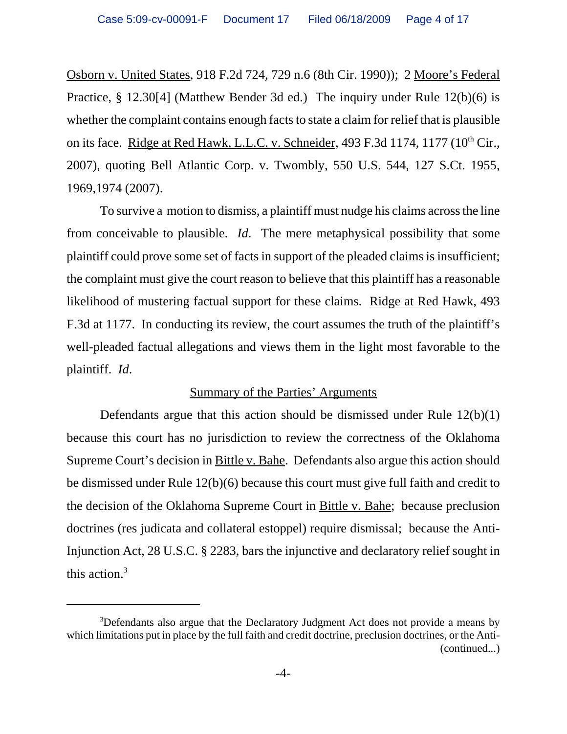Osborn v. United States, 918 F.2d 724, 729 n.6 (8th Cir. 1990)); 2 Moore's Federal Practice, § 12.30[4] (Matthew Bender 3d ed.) The inquiry under Rule 12(b)(6) is whether the complaint contains enough facts to state a claim for relief that is plausible on its face. Ridge at Red Hawk, L.L.C. v. Schneider, 493 F.3d 1174, 1177 (10th Cir., 2007), quoting Bell Atlantic Corp. v. Twombly, 550 U.S. 544, 127 S.Ct. 1955, 1969,1974 (2007).

To survive a motion to dismiss, a plaintiff must nudge his claims across the line from conceivable to plausible. *Id*. The mere metaphysical possibility that some plaintiff could prove some set of facts in support of the pleaded claims is insufficient; the complaint must give the court reason to believe that this plaintiff has a reasonable likelihood of mustering factual support for these claims. Ridge at Red Hawk, 493 F.3d at 1177. In conducting its review, the court assumes the truth of the plaintiff's well-pleaded factual allegations and views them in the light most favorable to the plaintiff. *Id*.

### Summary of the Parties' Arguments

Defendants argue that this action should be dismissed under Rule  $12(b)(1)$ because this court has no jurisdiction to review the correctness of the Oklahoma Supreme Court's decision in Bittle v. Bahe. Defendants also argue this action should be dismissed under Rule 12(b)(6) because this court must give full faith and credit to the decision of the Oklahoma Supreme Court in Bittle v. Bahe; because preclusion doctrines (res judicata and collateral estoppel) require dismissal; because the Anti-Injunction Act, 28 U.S.C. § 2283, bars the injunctive and declaratory relief sought in this action.<sup>3</sup>

<sup>&</sup>lt;sup>3</sup>Defendants also argue that the Declaratory Judgment Act does not provide a means by which limitations put in place by the full faith and credit doctrine, preclusion doctrines, or the Anti- (continued...)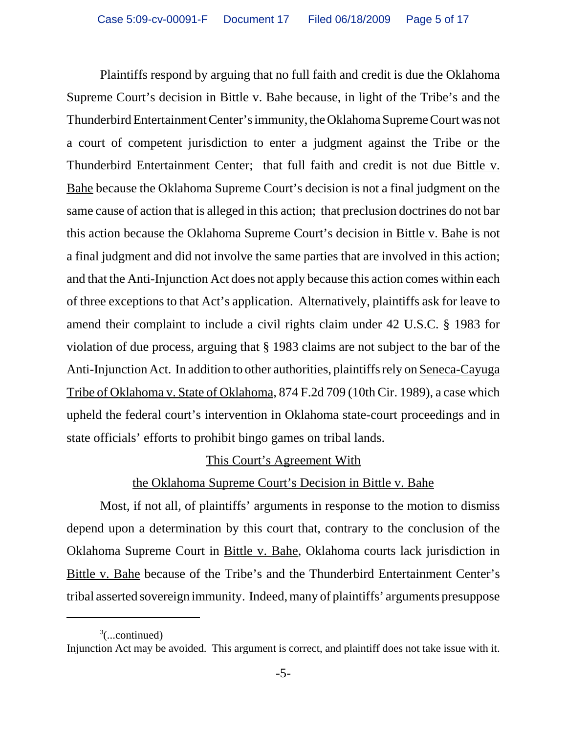Plaintiffs respond by arguing that no full faith and credit is due the Oklahoma Supreme Court's decision in Bittle v. Bahe because, in light of the Tribe's and the Thunderbird Entertainment Center's immunity, the Oklahoma Supreme Court was not a court of competent jurisdiction to enter a judgment against the Tribe or the Thunderbird Entertainment Center; that full faith and credit is not due Bittle v. Bahe because the Oklahoma Supreme Court's decision is not a final judgment on the same cause of action that is alleged in this action; that preclusion doctrines do not bar this action because the Oklahoma Supreme Court's decision in Bittle v. Bahe is not a final judgment and did not involve the same parties that are involved in this action; and that the Anti-Injunction Act does not apply because this action comes within each of three exceptions to that Act's application. Alternatively, plaintiffs ask for leave to amend their complaint to include a civil rights claim under 42 U.S.C. § 1983 for violation of due process, arguing that § 1983 claims are not subject to the bar of the Anti-Injunction Act. In addition to other authorities, plaintiffs rely on Seneca-Cayuga Tribe of Oklahoma v. State of Oklahoma, 874 F.2d 709 (10th Cir. 1989), a case which upheld the federal court's intervention in Oklahoma state-court proceedings and in state officials' efforts to prohibit bingo games on tribal lands.

### This Court's Agreement With

### the Oklahoma Supreme Court's Decision in Bittle v. Bahe

Most, if not all, of plaintiffs' arguments in response to the motion to dismiss depend upon a determination by this court that, contrary to the conclusion of the Oklahoma Supreme Court in Bittle v. Bahe, Oklahoma courts lack jurisdiction in Bittle v. Bahe because of the Tribe's and the Thunderbird Entertainment Center's tribal asserted sovereign immunity. Indeed, many of plaintiffs' arguments presuppose

 $3$ (...continued)

Injunction Act may be avoided. This argument is correct, and plaintiff does not take issue with it.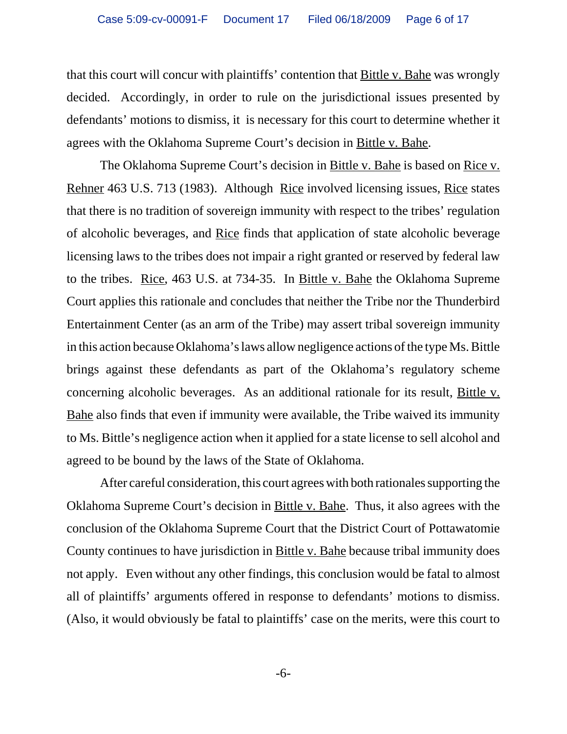that this court will concur with plaintiffs' contention that Bittle v. Bahe was wrongly decided. Accordingly, in order to rule on the jurisdictional issues presented by defendants' motions to dismiss, it is necessary for this court to determine whether it agrees with the Oklahoma Supreme Court's decision in Bittle v. Bahe.

The Oklahoma Supreme Court's decision in Bittle v. Bahe is based on Rice v. Rehner 463 U.S. 713 (1983). Although Rice involved licensing issues, Rice states that there is no tradition of sovereign immunity with respect to the tribes' regulation of alcoholic beverages, and Rice finds that application of state alcoholic beverage licensing laws to the tribes does not impair a right granted or reserved by federal law to the tribes. Rice, 463 U.S. at 734-35. In Bittle v. Bahe the Oklahoma Supreme Court applies this rationale and concludes that neither the Tribe nor the Thunderbird Entertainment Center (as an arm of the Tribe) may assert tribal sovereign immunity in this action because Oklahoma's laws allow negligence actions of the type Ms. Bittle brings against these defendants as part of the Oklahoma's regulatory scheme concerning alcoholic beverages. As an additional rationale for its result, Bittle v. Bahe also finds that even if immunity were available, the Tribe waived its immunity to Ms. Bittle's negligence action when it applied for a state license to sell alcohol and agreed to be bound by the laws of the State of Oklahoma.

After careful consideration, this court agrees with both rationales supporting the Oklahoma Supreme Court's decision in Bittle v. Bahe. Thus, it also agrees with the conclusion of the Oklahoma Supreme Court that the District Court of Pottawatomie County continues to have jurisdiction in Bittle v. Bahe because tribal immunity does not apply. Even without any other findings, this conclusion would be fatal to almost all of plaintiffs' arguments offered in response to defendants' motions to dismiss. (Also, it would obviously be fatal to plaintiffs' case on the merits, were this court to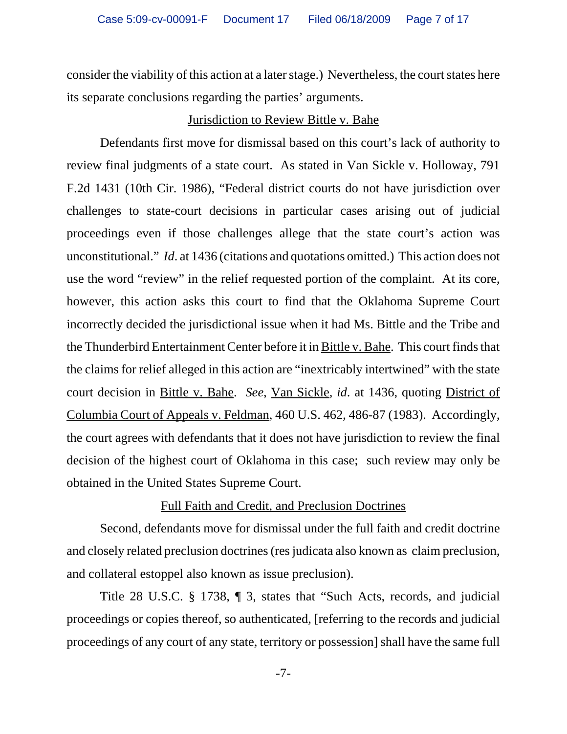consider the viability of this action at a later stage.) Nevertheless, the court states here its separate conclusions regarding the parties' arguments.

### Jurisdiction to Review Bittle v. Bahe

Defendants first move for dismissal based on this court's lack of authority to review final judgments of a state court. As stated in Van Sickle v. Holloway, 791 F.2d 1431 (10th Cir. 1986), "Federal district courts do not have jurisdiction over challenges to state-court decisions in particular cases arising out of judicial proceedings even if those challenges allege that the state court's action was unconstitutional." *Id*. at 1436 (citations and quotations omitted.) This action does not use the word "review" in the relief requested portion of the complaint. At its core, however, this action asks this court to find that the Oklahoma Supreme Court incorrectly decided the jurisdictional issue when it had Ms. Bittle and the Tribe and the Thunderbird Entertainment Center before it in Bittle v. Bahe. This court finds that the claims for relief alleged in this action are "inextricably intertwined" with the state court decision in Bittle v. Bahe. *See*, Van Sickle, *id*. at 1436, quoting District of Columbia Court of Appeals v. Feldman, 460 U.S. 462, 486-87 (1983). Accordingly, the court agrees with defendants that it does not have jurisdiction to review the final decision of the highest court of Oklahoma in this case; such review may only be obtained in the United States Supreme Court.

### Full Faith and Credit, and Preclusion Doctrines

Second, defendants move for dismissal under the full faith and credit doctrine and closely related preclusion doctrines (res judicata also known as claim preclusion, and collateral estoppel also known as issue preclusion).

Title 28 U.S.C. § 1738, ¶ 3, states that "Such Acts, records, and judicial proceedings or copies thereof, so authenticated, [referring to the records and judicial proceedings of any court of any state, territory or possession] shall have the same full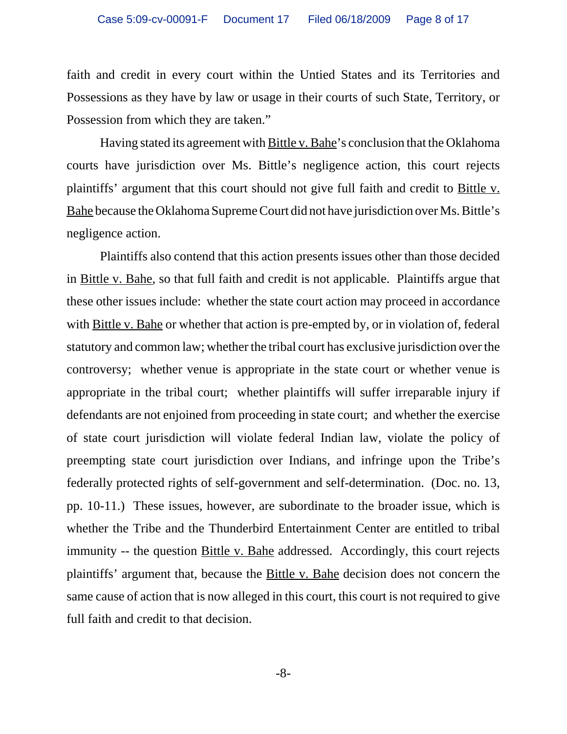faith and credit in every court within the Untied States and its Territories and Possessions as they have by law or usage in their courts of such State, Territory, or Possession from which they are taken."

Having stated its agreement with Bittle v. Bahe's conclusion that the Oklahoma courts have jurisdiction over Ms. Bittle's negligence action, this court rejects plaintiffs' argument that this court should not give full faith and credit to Bittle v. Bahe because the Oklahoma Supreme Court did not have jurisdiction over Ms. Bittle's negligence action.

Plaintiffs also contend that this action presents issues other than those decided in Bittle v. Bahe, so that full faith and credit is not applicable. Plaintiffs argue that these other issues include: whether the state court action may proceed in accordance with Bittle v. Bahe or whether that action is pre-empted by, or in violation of, federal statutory and common law; whether the tribal court has exclusive jurisdiction over the controversy; whether venue is appropriate in the state court or whether venue is appropriate in the tribal court; whether plaintiffs will suffer irreparable injury if defendants are not enjoined from proceeding in state court; and whether the exercise of state court jurisdiction will violate federal Indian law, violate the policy of preempting state court jurisdiction over Indians, and infringe upon the Tribe's federally protected rights of self-government and self-determination. (Doc. no. 13, pp. 10-11.) These issues, however, are subordinate to the broader issue, which is whether the Tribe and the Thunderbird Entertainment Center are entitled to tribal immunity -- the question Bittle v. Bahe addressed. Accordingly, this court rejects plaintiffs' argument that, because the Bittle v. Bahe decision does not concern the same cause of action that is now alleged in this court, this court is not required to give full faith and credit to that decision.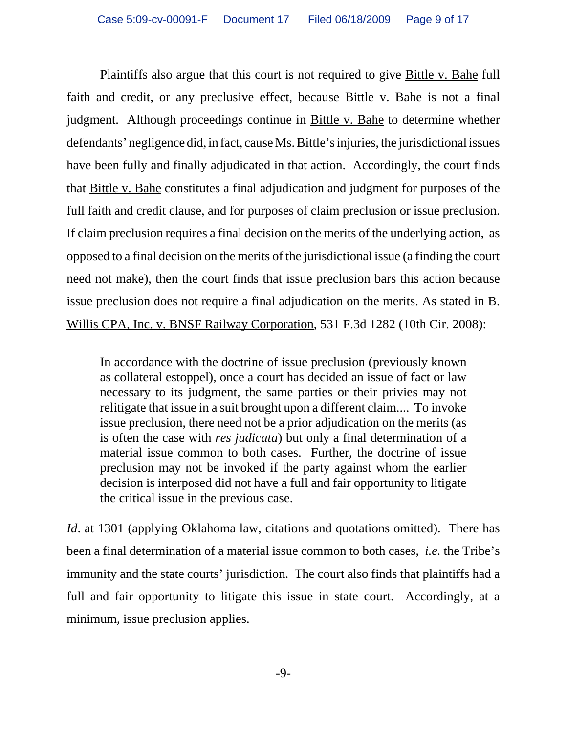Plaintiffs also argue that this court is not required to give Bittle v. Bahe full faith and credit, or any preclusive effect, because Bittle v. Bahe is not a final judgment. Although proceedings continue in Bittle v. Bahe to determine whether defendants' negligence did, in fact, cause Ms. Bittle's injuries, the jurisdictional issues have been fully and finally adjudicated in that action. Accordingly, the court finds that Bittle v. Bahe constitutes a final adjudication and judgment for purposes of the full faith and credit clause, and for purposes of claim preclusion or issue preclusion. If claim preclusion requires a final decision on the merits of the underlying action, as opposed to a final decision on the merits of the jurisdictional issue (a finding the court need not make), then the court finds that issue preclusion bars this action because issue preclusion does not require a final adjudication on the merits. As stated in B. Willis CPA, Inc. v. BNSF Railway Corporation, 531 F.3d 1282 (10th Cir. 2008):

In accordance with the doctrine of issue preclusion (previously known as collateral estoppel), once a court has decided an issue of fact or law necessary to its judgment, the same parties or their privies may not relitigate that issue in a suit brought upon a different claim.... To invoke issue preclusion, there need not be a prior adjudication on the merits (as is often the case with *res judicata*) but only a final determination of a material issue common to both cases. Further, the doctrine of issue preclusion may not be invoked if the party against whom the earlier decision is interposed did not have a full and fair opportunity to litigate the critical issue in the previous case.

*Id.* at 1301 (applying Oklahoma law, citations and quotations omitted). There has been a final determination of a material issue common to both cases, *i.e.* the Tribe's immunity and the state courts' jurisdiction. The court also finds that plaintiffs had a full and fair opportunity to litigate this issue in state court. Accordingly, at a minimum, issue preclusion applies.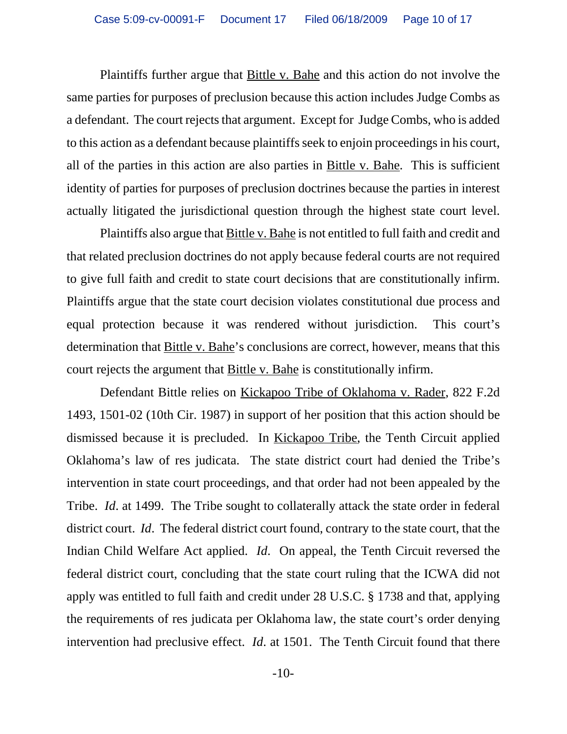Plaintiffs further argue that Bittle v. Bahe and this action do not involve the same parties for purposes of preclusion because this action includes Judge Combs as a defendant. The court rejects that argument. Except for Judge Combs, who is added to this action as a defendant because plaintiffs seek to enjoin proceedings in his court, all of the parties in this action are also parties in Bittle v. Bahe. This is sufficient identity of parties for purposes of preclusion doctrines because the parties in interest actually litigated the jurisdictional question through the highest state court level.

Plaintiffs also argue that Bittle v. Bahe is not entitled to full faith and credit and that related preclusion doctrines do not apply because federal courts are not required to give full faith and credit to state court decisions that are constitutionally infirm. Plaintiffs argue that the state court decision violates constitutional due process and equal protection because it was rendered without jurisdiction. This court's determination that **Bittle v. Bahe's** conclusions are correct, however, means that this court rejects the argument that Bittle v. Bahe is constitutionally infirm.

Defendant Bittle relies on Kickapoo Tribe of Oklahoma v. Rader, 822 F.2d 1493, 1501-02 (10th Cir. 1987) in support of her position that this action should be dismissed because it is precluded. In Kickapoo Tribe, the Tenth Circuit applied Oklahoma's law of res judicata. The state district court had denied the Tribe's intervention in state court proceedings, and that order had not been appealed by the Tribe. *Id*. at 1499. The Tribe sought to collaterally attack the state order in federal district court. *Id*. The federal district court found, contrary to the state court, that the Indian Child Welfare Act applied. *Id*. On appeal, the Tenth Circuit reversed the federal district court, concluding that the state court ruling that the ICWA did not apply was entitled to full faith and credit under 28 U.S.C. § 1738 and that, applying the requirements of res judicata per Oklahoma law, the state court's order denying intervention had preclusive effect. *Id*. at 1501. The Tenth Circuit found that there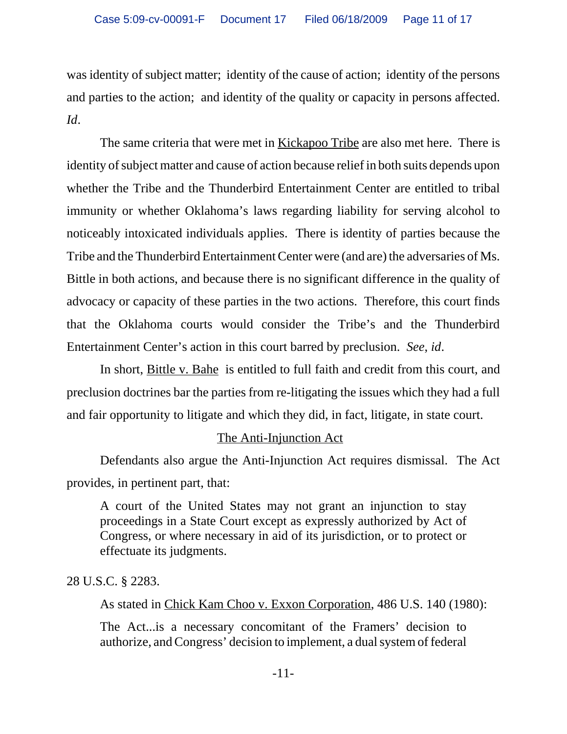was identity of subject matter; identity of the cause of action; identity of the persons and parties to the action; and identity of the quality or capacity in persons affected. *Id*.

 The same criteria that were met in Kickapoo Tribe are also met here. There is identity of subject matter and cause of action because relief in both suits depends upon whether the Tribe and the Thunderbird Entertainment Center are entitled to tribal immunity or whether Oklahoma's laws regarding liability for serving alcohol to noticeably intoxicated individuals applies. There is identity of parties because the Tribe and the Thunderbird Entertainment Center were (and are) the adversaries of Ms. Bittle in both actions, and because there is no significant difference in the quality of advocacy or capacity of these parties in the two actions. Therefore, this court finds that the Oklahoma courts would consider the Tribe's and the Thunderbird Entertainment Center's action in this court barred by preclusion. *See*, *id*.

In short, Bittle v. Bahe is entitled to full faith and credit from this court, and preclusion doctrines bar the parties from re-litigating the issues which they had a full and fair opportunity to litigate and which they did, in fact, litigate, in state court.

# The Anti-Injunction Act

Defendants also argue the Anti-Injunction Act requires dismissal. The Act provides, in pertinent part, that:

A court of the United States may not grant an injunction to stay proceedings in a State Court except as expressly authorized by Act of Congress, or where necessary in aid of its jurisdiction, or to protect or effectuate its judgments.

28 U.S.C. § 2283.

As stated in Chick Kam Choo v. Exxon Corporation, 486 U.S. 140 (1980):

The Act...is a necessary concomitant of the Framers' decision to authorize, and Congress' decision to implement, a dual system of federal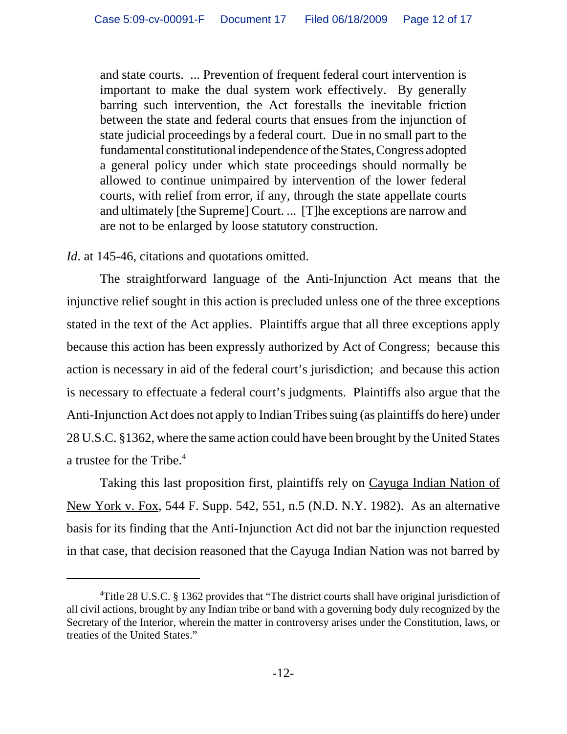and state courts. ... Prevention of frequent federal court intervention is important to make the dual system work effectively. By generally barring such intervention, the Act forestalls the inevitable friction between the state and federal courts that ensues from the injunction of state judicial proceedings by a federal court. Due in no small part to the fundamental constitutional independence of the States, Congress adopted a general policy under which state proceedings should normally be allowed to continue unimpaired by intervention of the lower federal courts, with relief from error, if any, through the state appellate courts and ultimately [the Supreme] Court. ... [T]he exceptions are narrow and are not to be enlarged by loose statutory construction.

*Id.* at 145-46, citations and quotations omitted.

The straightforward language of the Anti-Injunction Act means that the injunctive relief sought in this action is precluded unless one of the three exceptions stated in the text of the Act applies. Plaintiffs argue that all three exceptions apply because this action has been expressly authorized by Act of Congress; because this action is necessary in aid of the federal court's jurisdiction; and because this action is necessary to effectuate a federal court's judgments. Plaintiffs also argue that the Anti-Injunction Act does not apply to Indian Tribes suing (as plaintiffs do here) under 28 U.S.C. §1362, where the same action could have been brought by the United States a trustee for the Tribe.<sup>4</sup>

Taking this last proposition first, plaintiffs rely on Cayuga Indian Nation of New York v. Fox, 544 F. Supp. 542, 551, n.5 (N.D. N.Y. 1982). As an alternative basis for its finding that the Anti-Injunction Act did not bar the injunction requested in that case, that decision reasoned that the Cayuga Indian Nation was not barred by

<sup>&</sup>lt;sup>4</sup>Title 28 U.S.C. § 1362 provides that "The district courts shall have original jurisdiction of all civil actions, brought by any Indian tribe or band with a governing body duly recognized by the Secretary of the Interior, wherein the matter in controversy arises under the Constitution, laws, or treaties of the United States."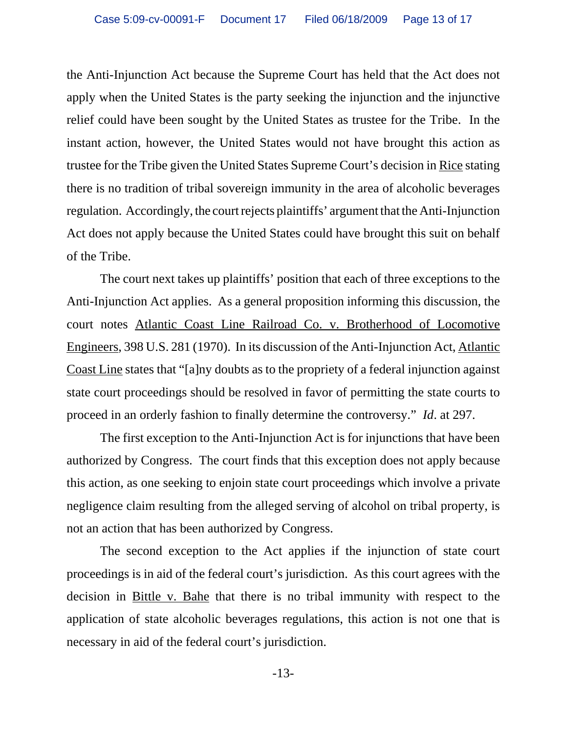the Anti-Injunction Act because the Supreme Court has held that the Act does not apply when the United States is the party seeking the injunction and the injunctive relief could have been sought by the United States as trustee for the Tribe. In the instant action, however, the United States would not have brought this action as trustee for the Tribe given the United States Supreme Court's decision in Rice stating there is no tradition of tribal sovereign immunity in the area of alcoholic beverages regulation. Accordingly, the court rejects plaintiffs' argument that the Anti-Injunction Act does not apply because the United States could have brought this suit on behalf of the Tribe.

The court next takes up plaintiffs' position that each of three exceptions to the Anti-Injunction Act applies. As a general proposition informing this discussion, the court notes Atlantic Coast Line Railroad Co. v. Brotherhood of Locomotive Engineers, 398 U.S. 281 (1970). In its discussion of the Anti-Injunction Act, Atlantic Coast Line states that "[a]ny doubts as to the propriety of a federal injunction against state court proceedings should be resolved in favor of permitting the state courts to proceed in an orderly fashion to finally determine the controversy." *Id*. at 297.

The first exception to the Anti-Injunction Act is for injunctions that have been authorized by Congress. The court finds that this exception does not apply because this action, as one seeking to enjoin state court proceedings which involve a private negligence claim resulting from the alleged serving of alcohol on tribal property, is not an action that has been authorized by Congress.

The second exception to the Act applies if the injunction of state court proceedings is in aid of the federal court's jurisdiction. As this court agrees with the decision in Bittle v. Bahe that there is no tribal immunity with respect to the application of state alcoholic beverages regulations, this action is not one that is necessary in aid of the federal court's jurisdiction.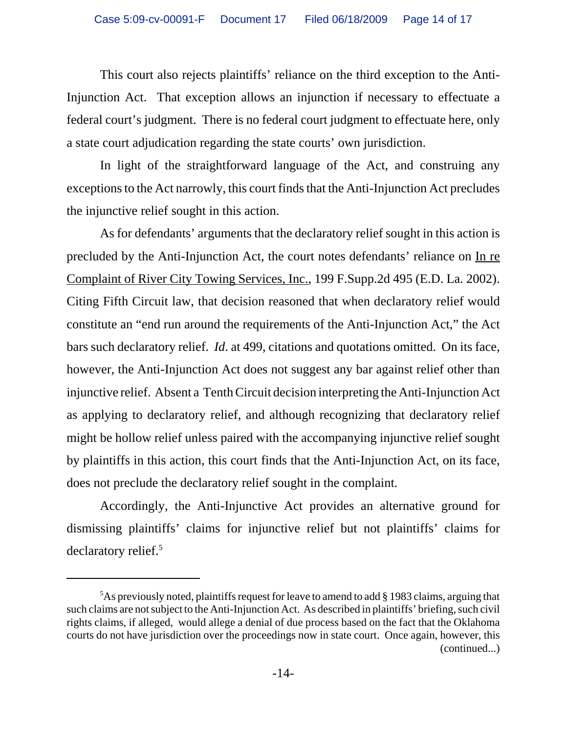This court also rejects plaintiffs' reliance on the third exception to the Anti-Injunction Act. That exception allows an injunction if necessary to effectuate a federal court's judgment. There is no federal court judgment to effectuate here, only a state court adjudication regarding the state courts' own jurisdiction.

In light of the straightforward language of the Act, and construing any exceptions to the Act narrowly, this court finds that the Anti-Injunction Act precludes the injunctive relief sought in this action.

As for defendants' arguments that the declaratory relief sought in this action is precluded by the Anti-Injunction Act, the court notes defendants' reliance on In re Complaint of River City Towing Services, Inc., 199 F.Supp.2d 495 (E.D. La. 2002). Citing Fifth Circuit law, that decision reasoned that when declaratory relief would constitute an "end run around the requirements of the Anti-Injunction Act," the Act bars such declaratory relief. *Id*. at 499, citations and quotations omitted. On its face, however, the Anti-Injunction Act does not suggest any bar against relief other than injunctive relief. Absent a Tenth Circuit decision interpreting the Anti-Injunction Act as applying to declaratory relief, and although recognizing that declaratory relief might be hollow relief unless paired with the accompanying injunctive relief sought by plaintiffs in this action, this court finds that the Anti-Injunction Act, on its face, does not preclude the declaratory relief sought in the complaint.

Accordingly, the Anti-Injunctive Act provides an alternative ground for dismissing plaintiffs' claims for injunctive relief but not plaintiffs' claims for declaratory relief.<sup>5</sup>

 ${}^5$ As previously noted, plaintiffs request for leave to amend to add § 1983 claims, arguing that such claims are not subject to the Anti-Injunction Act. As described in plaintiffs' briefing, such civil rights claims, if alleged, would allege a denial of due process based on the fact that the Oklahoma courts do not have jurisdiction over the proceedings now in state court. Once again, however, this (continued...)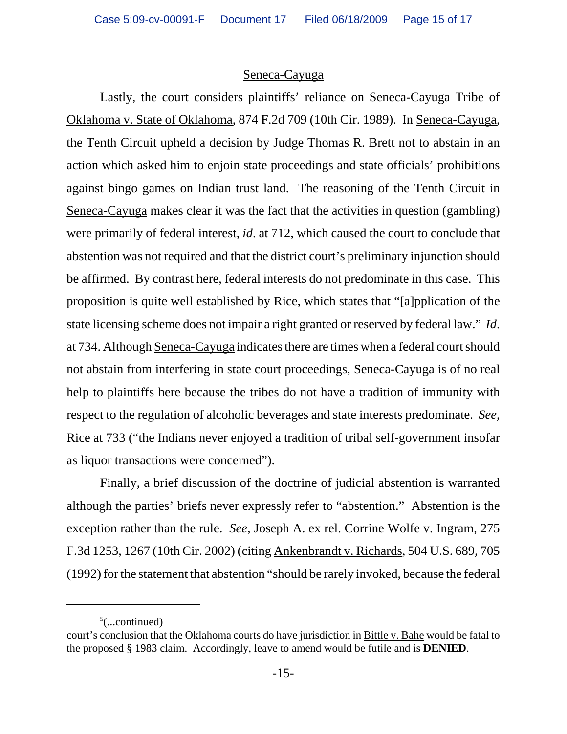### Seneca-Cayuga

Lastly, the court considers plaintiffs' reliance on Seneca-Cayuga Tribe of Oklahoma v. State of Oklahoma, 874 F.2d 709 (10th Cir. 1989). In Seneca-Cayuga, the Tenth Circuit upheld a decision by Judge Thomas R. Brett not to abstain in an action which asked him to enjoin state proceedings and state officials' prohibitions against bingo games on Indian trust land. The reasoning of the Tenth Circuit in Seneca-Cayuga makes clear it was the fact that the activities in question (gambling) were primarily of federal interest, *id*. at 712, which caused the court to conclude that abstention was not required and that the district court's preliminary injunction should be affirmed. By contrast here, federal interests do not predominate in this case. This proposition is quite well established by Rice, which states that "[a]pplication of the state licensing scheme does not impair a right granted or reserved by federal law." *Id*. at 734. Although Seneca-Cayuga indicates there are times when a federal court should not abstain from interfering in state court proceedings, Seneca-Cayuga is of no real help to plaintiffs here because the tribes do not have a tradition of immunity with respect to the regulation of alcoholic beverages and state interests predominate. *See*, Rice at 733 ("the Indians never enjoyed a tradition of tribal self-government insofar as liquor transactions were concerned").

Finally, a brief discussion of the doctrine of judicial abstention is warranted although the parties' briefs never expressly refer to "abstention." Abstention is the exception rather than the rule. *See*, Joseph A. ex rel. Corrine Wolfe v. Ingram, 275 F.3d 1253, 1267 (10th Cir. 2002) (citing Ankenbrandt v. Richards, 504 U.S. 689, 705 (1992) for the statement that abstention "should be rarely invoked, because the federal

 $5$ (...continued)

court's conclusion that the Oklahoma courts do have jurisdiction in Bittle v. Bahe would be fatal to the proposed § 1983 claim. Accordingly, leave to amend would be futile and is **DENIED**.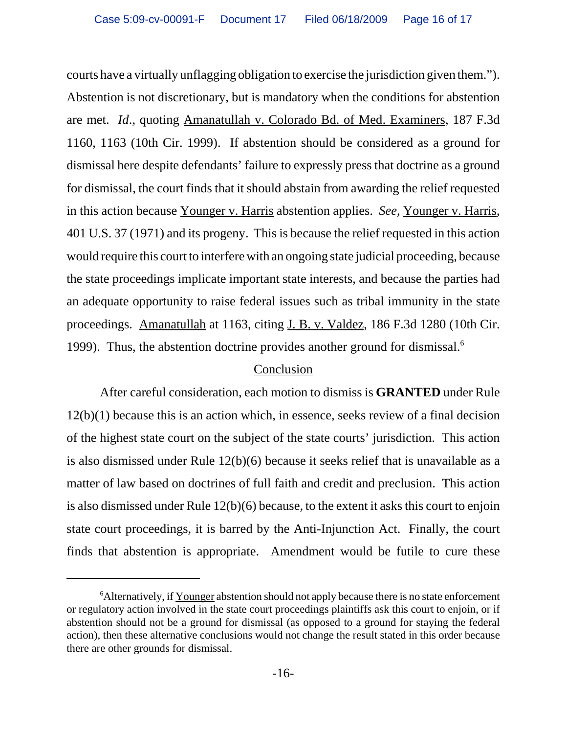courts have a virtually unflagging obligation to exercise the jurisdiction given them."). Abstention is not discretionary, but is mandatory when the conditions for abstention are met. *Id*., quoting Amanatullah v. Colorado Bd. of Med. Examiners, 187 F.3d 1160, 1163 (10th Cir. 1999). If abstention should be considered as a ground for dismissal here despite defendants' failure to expressly press that doctrine as a ground for dismissal, the court finds that it should abstain from awarding the relief requested in this action because Younger v. Harris abstention applies. *See*, Younger v. Harris, 401 U.S. 37 (1971) and its progeny. This is because the relief requested in this action would require this court to interfere with an ongoing state judicial proceeding, because the state proceedings implicate important state interests, and because the parties had an adequate opportunity to raise federal issues such as tribal immunity in the state proceedings. Amanatullah at 1163, citing J. B. v. Valdez, 186 F.3d 1280 (10th Cir. 1999). Thus, the abstention doctrine provides another ground for dismissal.<sup>6</sup>

### Conclusion

After careful consideration, each motion to dismiss is **GRANTED** under Rule 12(b)(1) because this is an action which, in essence, seeks review of a final decision of the highest state court on the subject of the state courts' jurisdiction. This action is also dismissed under Rule 12(b)(6) because it seeks relief that is unavailable as a matter of law based on doctrines of full faith and credit and preclusion. This action is also dismissed under Rule 12(b)(6) because, to the extent it asks this court to enjoin state court proceedings, it is barred by the Anti-Injunction Act. Finally, the court finds that abstention is appropriate. Amendment would be futile to cure these

<sup>&</sup>lt;sup>6</sup>Alternatively, if Younger abstention should not apply because there is no state enforcement or regulatory action involved in the state court proceedings plaintiffs ask this court to enjoin, or if abstention should not be a ground for dismissal (as opposed to a ground for staying the federal action), then these alternative conclusions would not change the result stated in this order because there are other grounds for dismissal.